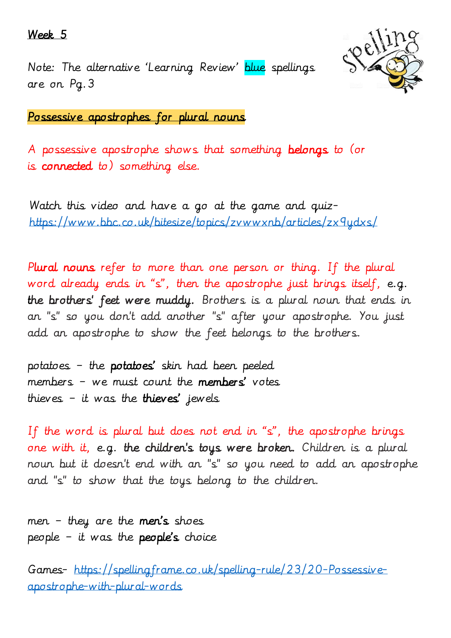### Week 5

Note: The alternative 'Learning Review' blue spellings are on Pg.3



Possessive apostrophes for plural nouns

A possessive apostrophe shows that something belongs to (or is connected to) something else.

Watch this video and have a go at the game and quiz<https://www.bbc.co.uk/bitesize/topics/zvwwxnb/articles/zx9ydxs/>

Plural nouns refer to more than one person or thing. If the plural word already ends in "s", then the apostrophe just brings itself, e.g. the brothers' feet were muddy. Brothers is a plural noun that ends in an "s" so you don't add another "s" after your apostrophe. You just add an apostrophe to show the feet belongs to the brothers.

potatoes - the potatoes' skin had been peeled members – we must count the members' votes thieves - it was the thieves' jewels

If the word is plural but does not end in "s", the apostrophe brings one with it, e.g. the children's toys were broken. Children is a plural noun but it doesn't end with an "s" so you need to add an apostrophe and "s" to show that the toys belong to the children.

men – they are the men's shoes people – it was the people's choice

Games- [https://spellingframe.co.uk/spelling-rule/23/20-Possessive](https://spellingframe.co.uk/spelling-rule/23/20-Possessive-apostrophe-with-plural-words)[apostrophe-with-plural-words](https://spellingframe.co.uk/spelling-rule/23/20-Possessive-apostrophe-with-plural-words)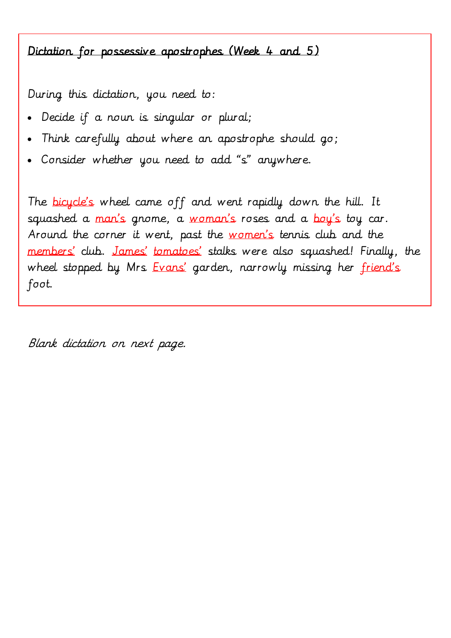## Dictation for possessive apostrophes (Week 4 and 5)

During this dictation, you need to:

- Decide if a noun is singular or plural;
- Think carefully about where an apostrophe should go;
- Consider whether you need to add "s" anywhere.

The bicycle's wheel came off and went rapidly down the hill. It squashed a man's gnome, a woman's roses and a boy's toy car. Around the corner it went, past the women's tennis club and the members' club. James' tomatoes' stalks were also squashed! Finally, the wheel stopped by Mrs Evans' garden, narrowly missing her friend's foot.

Blank dictation on next page.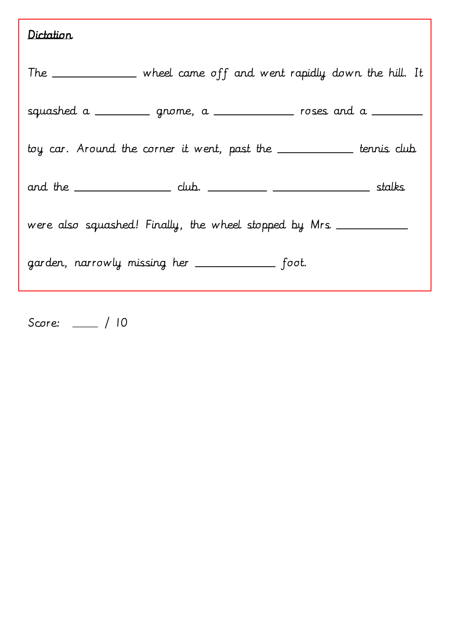# Dictation

|                                                                     | The _____________ wheel came off and went rapidly down the hill. It                       |  |  |  |
|---------------------------------------------------------------------|-------------------------------------------------------------------------------------------|--|--|--|
|                                                                     | squashed a $\_\_\_\_\_\_\$ gnome, a $\_\_\_\_\_\_\_\_\$ roses and a $\_\_\_\_\_\_\_\_\_\$ |  |  |  |
| toy car. Around the corner it went, past the __________ tennis club |                                                                                           |  |  |  |
|                                                                     |                                                                                           |  |  |  |
| were also squashed! Finally, the wheel stopped by Mrs _________     |                                                                                           |  |  |  |
| garden, narrowly missing her _____________ foot.                    |                                                                                           |  |  |  |

Score: \_\_\_\_\_\_ / 10